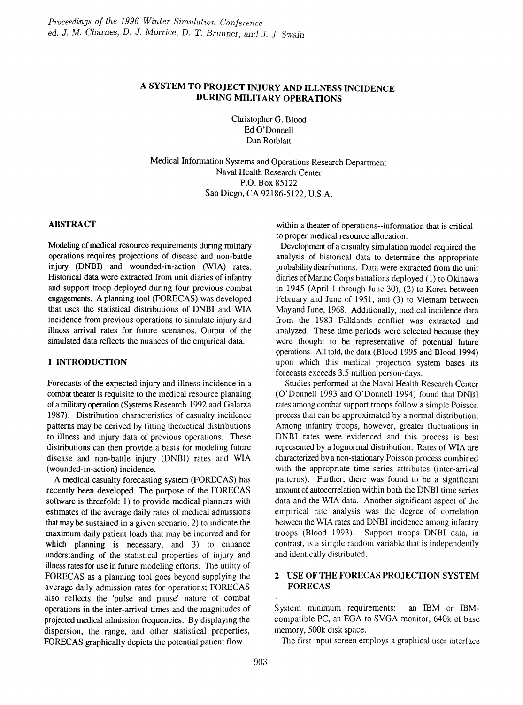# A SYSTEM TO PROJECT INJURY AND ILLNESS INCIDENCE DURING MILITARY OPERATIONS

Christopher G. Blood Ed O'Donnell Dan Rotblatt

Medical Information Systems and Operations Research Department Naval Health Research Center P.O. Box 85122 San Diego, CA 92186-5122, U.S.A.

### ABSTRACT

Modeling of medical resource requirements during military operations requires projections of disease and non-battle injury (DNBI) and wounded-in-action (WIA) rates. Historical data were extracted from unit diaries of infantry and support troop deployed during four previous combat engagements. A planning tool (FORECAS) was developed that uses the statistical distributions of DNBI and WIA incidence from previous operations to simulate injury and illness arrival rates for future scenarios. Output of the simulated data reflects the nuances of the empirical data.

### 1 INTRODUCTION

Forecasts of the expected injury and illness incidence in a combat theater is requisite to the medical resource planning of a military operation (Systems Research 1992 and Galarza 1987). Distribution characteristics of casualty incidence patterns may be derived by fitting theoretical distributions to illness and injury data of previous operations. These distributions can then provide a basis for modeling future disease and non-battle injury (DNBI) rates and WIA (wounded-in-action) incidence.

A medical casualty forecasting system (FORECAS) has recently been developed. The purpose of the FORECAS software is threefold: 1) to provide medical planners with estimates of the average daily rates of medical admissions that may be sustained in a given scenario, 2) to indicate the maximum daily patient loads that may be incurred and for which planning is necessary, and 3) to enhance understanding of the statistical properties of injury and illness rates for use in future modeling efforts. The utility of FORECAS as a planning tool goes beyond supplying the average daily admission rates for operations; FORECAS also reflects the 'pulse and pause' nature of combat operations in the inter-arrival times and the magnitudes of projected medical admission frequencies. By displaying the dispersion, the range, and other statistical properties, FORECAS graphically depicts the potential patient flow

within a theater of operations--information that is critical to proper medical resource allocation.

Development of a casualty simulation model required the analysis of historical data to detennine the appropriate probability distributions. Data were extracted from the unit diaries of Marine Corps battalions deployed (1) to Okinawa in 1945 (April 1 through June 30), (2) to Korea between February and June of 1951, and (3) to Vietnam between May and June, 1968. Additionally, medical incidence data from the 1983 Falklands conflict was extracted and analyzed. These time periods were selected because they were thought to be representative of potential future 9perations. All told, the data (Blood 1995 and Blood 1994) upon which this medical projection system bases its forecasts exceeds 3.5 million person-days.

Studies perfonned at the Naval Health Research Center (O'Donnell 1993 and O'Donnell 1994) found that DNBI rates among combat support troops follow a simple Poisson process that can be approximated by a normal distribution. Among infantry troops, however, greater fluctuations in DNBI rates were evidenced and this process is best represented by a lognormal distribution. Rates of WIA are characterized by a non-stationary Poisson process combined with the appropriate time series attributes (inter-arrival patterns). Further, there was found to be a significant amount of autocorrelation within both the DNBI time series data and the WIA data. Another significant aspect of the empirical rate analysis was the degree of correlation between the WIA rates and DNBI incidence among infantry troops (Blood 1993). Support troops DNBI data, in contrast, is a simple random variable that is independently and identically distributed.

### 2 USE OF THE FORECAS PROJECTION SYSTEM FORECAS

System minimum requirements: an IBM or IBMcompatible PC, an EGA to SVGA monitor, 640k of base memory, 500k disk space.

The first input screen employs a graphical user interface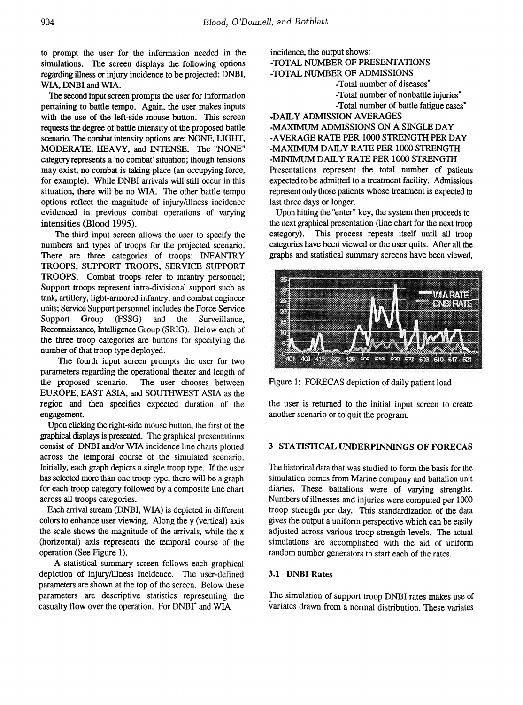to prompt the user for the infonnation needed in the simulations. The screen displays the following options regarding illness or injury incidence to be projected: DNBI, WIA, DNBI and WIA.

The second input screen prompts the user for information pertaining to battle tempo. Again, the user makes inputs with the use of the left-side mouse button. This screen requests the degree of battle intensity of the proposed battle scenario. The combat intensity options are: NONE, LIGHT, MODERATE, HEAVY, and INTENSE. The "NONE" category represents a 'no combat' situation; though tensions may exist, no combat is taking place (an occupying force, for example). While DNBI arrivals will still occur in this situation, there will be no WIA. The other battle tempo options reflect the magnitude of injury/illness incidence evidenced in previous combat operations of varying intensities (Blood 1995).

The third input screen allows the user to specify the numbers and types of troops for the projected scenario. There are three categories of troops: INFANTRY TROOPS, SUPPORT TROOPS, SERVICE SUPPORT TROOPS. Combat troops refer to infantry personnel; Support troops represent intra-divisional support such as tank, artillery, light-armored infantry, and combat engineer units; Service Support personnel includes the Force Service Support Group (FSSG) and the Surveillance, Reconnaissance, Intelligence Group (SRIG). Below each of the three troop categories are buttons for specifying the number of that troop type deployed.

The fourth input screen prompts the user for two parameters regarding the operational theater and length of the proposed scenario. The user chooses between EUROPE, EAST ASIA, and SOUTHWEST ASIA as the region and then specifies expected duration of the engagement.

Upon clicking the right-side mouse button, the first of the graphical displays is presented. The graphical presentations consist of DNBI and/or WIA incidence line charts plotted across the temporal course of the simulated scenario. Initially, each graph depicts a single troop type. If the user has selected more than one troop type, there will be a graph for each troop category followed by a composite line chart across all troops categories.

Each arrival stream (DNBI, WIA) is depicted in different colors to enhance user viewing. Along the y (vertical) axis the scale shows the magnitude of the arrivals, while the x (horizontal) axis represents the temporal course of the operation (See Figure 1).

A statistical summary screen follows each graphical depiction of injury/illness incidence. The user-defined parameters are shown at the top of the screen. Below these parameters are descriptive statistics representing the casualty flow over the operation. For DNBI<sup>\*</sup> and WIA

incidence, the output shows:

-TOTAL NUMBER OF PRESENTATIONS -TOTAL NUMBER OF ADMISSIONS -Total number of diseases· -Total number of nonbattle injuries· -Total number of battle fatigue cases- ,DAILY ADMISSION AVERAGES -MAXIMUM ADMISSIONS ON A SINGLE DAY

-AVERAGE RATE PER 1000 STRENGTH PER DAY -MAXIMUM DAILY RATE PER 1000 STRENGTH -MINIMUM DAILY RATE PER 1000 STRENGTH Presentations represent the total number of patients expected to be admitted to a treatment facility. Admissions represent only those patients whose treatment is expected to last three days or longer.

Upon hitting the "enter" key, the system then proceeds to the next graphical presentation (line chart for the next troop category). This process repeats itself until all troop categories have been viewed or the user quits. After all the graphs and statistical summary screens have been viewed,



Figure 1: FORECAS depiction of daily patient load

the user is returned to the initial input screen to create another scenario or to quit the program.

#### 3 STATISTICAL UNDERPINNINGS OF FORECAS

The historical data that was studied to fonn the basis for the simulation comes from Marine company and battalion unit diaries. These battalions were of varying strengths. Numbers of illnesses and injuries were computed per 1000 troop strength per day. This standardization of the data gives the output a uniform perspective which can be easily adjusted across various troop strength levels. The actual simulations are accomplished with the aid of uniform random number generators to start each of the rates.

#### 3.1 DNBI Rates

The simulation of support troop DNBI rates makes use of variates drawn from a normal distribution. These variates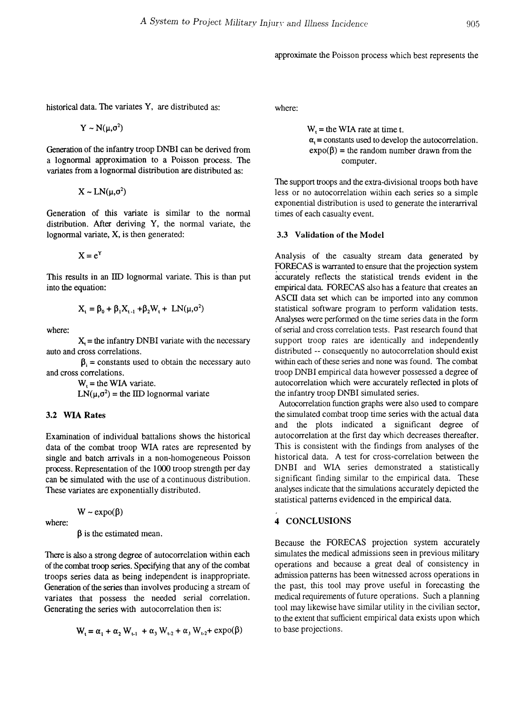approximate the Poisson process which best represents the

historical data. The variates Y, are distributed as:

$$
Y \sim N(\mu, \sigma^2)
$$

Generation of the infantry troop DNBI can be derived from a lognonnal approximation to a Poisson process. The variates from a lognormal distribution are distributed as:

$$
X \sim LN(\mu, \sigma^2)
$$

Generation of this variate is similar to the normal distribution. After deriving Y, the normal variate, the lognormal variate,  $X$ , is then generated:

$$
X = e^{Y}
$$

This results in an IID lognormal variate. This is than put into the equation:

$$
X_{t} = \beta_{0} + \beta_{1} X_{t-1} + \beta_{2} W_{t} + LN(\mu, \sigma^{2})
$$

where:

 $X =$  the infantry DNBI variate with the necessary auto and cross correlations.

 $\beta_i$  = constants used to obtain the necessary auto and cross correlations.

> $W<sub>t</sub>$  = the WIA variate.  $LN(\mu,\sigma^2)$  = the IID lognormal variate

### 3.2 WIA Rates

Examination of individual battalions shows the historical data of the combat troop WIA rates are represented by single and batch arrivals in a non-homogeneous Poisson process. Representation of the 1000 troop strength per day can be simulated with the use of a continuous distribution. These variates are exponentially distributed.

$$
W\sim \text{expo}(\beta)
$$

where:

 $\beta$  is the estimated mean.

There is also a strong degree of autocorrelation within each of the combat troop series. Specifying that any of the combat troops series data as being independent is inappropriate. Generation of the series than involves producing a stream of variates that possess the needed serial correlation. Generating the series with autocorrelation then is:

$$
W_{\tau} = \alpha_1 + \alpha_2 \, W_{\tau \cdot 1} \, + \alpha_3 \, W_{\tau \cdot 2} + \alpha_3 \, W_{\tau \cdot 2} + \exp( \beta )
$$

where:

 $W<sub>t</sub>$  = the WIA rate at time t.  $\alpha_t$  = constants used to develop the autocorrelation.  $exp<sub>0</sub>(\beta)$  = the random number drawn from the computer.

The support troops and the extra-divisional troops both have less or no autocorrelation within each series so a simple exponential distribution is used to generate the interarrival times of each casualty event.

#### 3.3 Validation of the Model

Analysis of the casualty stream data generated by FORECAS is warranted to ensure that the projection system accurately reflects the statistical trends evident in the empirical data. FORECAS also has a feature that creates an ASCII data set which can be imported into any common statistical software program to perfonn validation tests. Analyses were performed on the time series data in the form of serial and cross correlation tests. Past research found that support troop rates are identically and independently distributed -- consequently no autocorrelation should exist within each of these series and none was found. The combat troop DNBI empirical data however possessed a degree of autocorrelation which were accurately reflected in plots of the infantry troop DNBI simulated series.

Autocorrelation function graphs were also used to compare the simulated combat troop time series with the actual data and the plots indicated a significant degree of autocorrelation at the first day which decreases thereafter. This is consistent with the findings from analyses of the historical data. A test for cross-correlation between the DNBI and WIA series demonstrated a statistically significant finding similar to the empirical data. These analyses indicate that the simulations accurately depicted the statistical patterns evidenced in the empirical data.

# 4 CONCLUSIONS

Because the FORECAS projection system accurately simulates the medical admissions seen in previous military operations and because a great deal of consistency in admission patterns has been witnessed across operations in the past, this tool may prove useful in forecasting the medical requirements of future operations. Such a planning tool may likewise have similar utility in the civilian sector, to the extent that sufficient empirical data exists upon which to base projections.